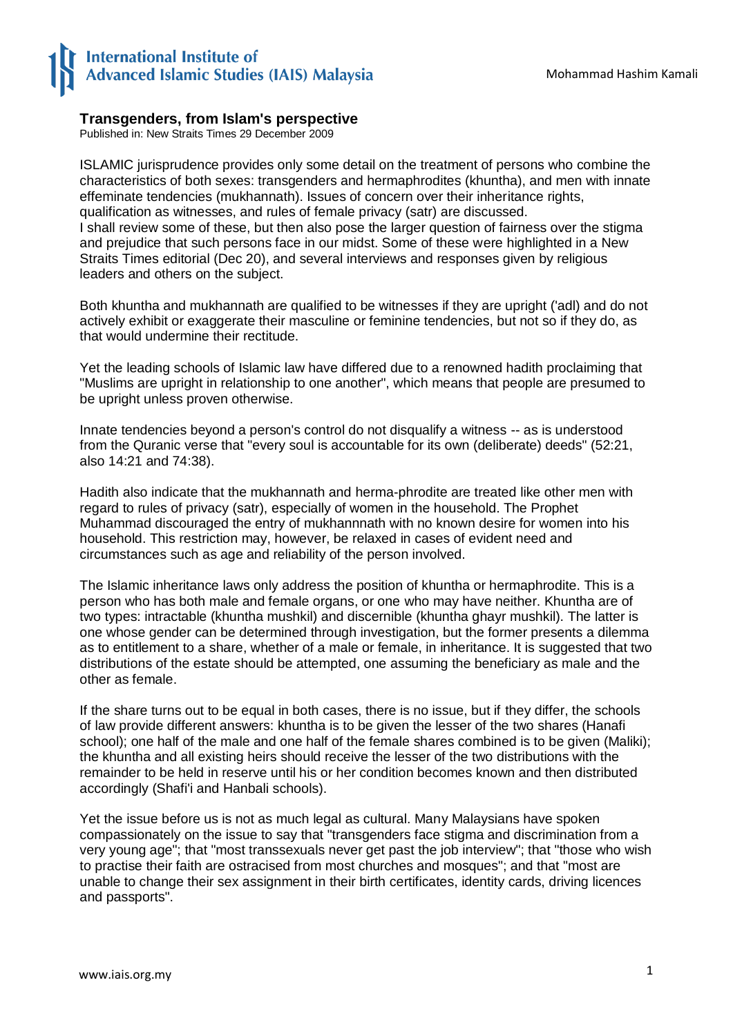## **Transgenders, from Islam's perspective**

Published in: New Straits Times 29 December 2009

ISLAMIC jurisprudence provides only some detail on the treatment of persons who combine the characteristics of both sexes: transgenders and hermaphrodites (khuntha), and men with innate effeminate tendencies (mukhannath). Issues of concern over their inheritance rights, qualification as witnesses, and rules of female privacy (satr) are discussed. I shall review some of these, but then also pose the larger question of fairness over the stigma and prejudice that such persons face in our midst. Some of these were highlighted in a New Straits Times editorial (Dec 20), and several interviews and responses given by religious leaders and others on the subject.

Both khuntha and mukhannath are qualified to be witnesses if they are upright ('adl) and do not actively exhibit or exaggerate their masculine or feminine tendencies, but not so if they do, as that would undermine their rectitude.

Yet the leading schools of Islamic law have differed due to a renowned hadith proclaiming that "Muslims are upright in relationship to one another", which means that people are presumed to be upright unless proven otherwise.

Innate tendencies beyond a person's control do not disqualify a witness -- as is understood from the Quranic verse that "every soul is accountable for its own (deliberate) deeds" (52:21, also 14:21 and 74:38).

Hadith also indicate that the mukhannath and herma-phrodite are treated like other men with regard to rules of privacy (satr), especially of women in the household. The Prophet Muhammad discouraged the entry of mukhannnath with no known desire for women into his household. This restriction may, however, be relaxed in cases of evident need and circumstances such as age and reliability of the person involved.

The Islamic inheritance laws only address the position of khuntha or hermaphrodite. This is a person who has both male and female organs, or one who may have neither. Khuntha are of two types: intractable (khuntha mushkil) and discernible (khuntha ghayr mushkil). The latter is one whose gender can be determined through investigation, but the former presents a dilemma as to entitlement to a share, whether of a male or female, in inheritance. It is suggested that two distributions of the estate should be attempted, one assuming the beneficiary as male and the other as female.

If the share turns out to be equal in both cases, there is no issue, but if they differ, the schools of law provide different answers: khuntha is to be given the lesser of the two shares (Hanafi school); one half of the male and one half of the female shares combined is to be given (Maliki); the khuntha and all existing heirs should receive the lesser of the two distributions with the remainder to be held in reserve until his or her condition becomes known and then distributed accordingly (Shafi'i and Hanbali schools).

Yet the issue before us is not as much legal as cultural. Many Malaysians have spoken compassionately on the issue to say that "transgenders face stigma and discrimination from a very young age"; that "most transsexuals never get past the job interview"; that "those who wish to practise their faith are ostracised from most churches and mosques"; and that "most are unable to change their sex assignment in their birth certificates, identity cards, driving licences and passports".